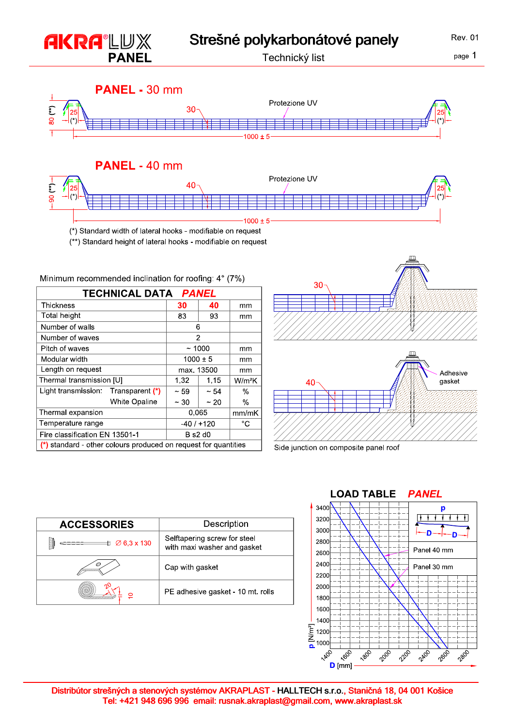

|                                                                   |                                     |               | TECHNICAL DATA <i>PANEL</i> |           |                    |  |
|-------------------------------------------------------------------|-------------------------------------|---------------|-----------------------------|-----------|--------------------|--|
|                                                                   | Thickness                           |               | 30                          | 40        | mm                 |  |
|                                                                   | Total height                        |               | 83                          | 93        | mm                 |  |
|                                                                   | Number of walls                     |               | 6                           |           |                    |  |
|                                                                   | Number of waves                     |               | 2                           |           |                    |  |
|                                                                   | Pitch of waves                      |               | ~1000                       |           | mm                 |  |
|                                                                   | Modular width                       |               | $1000 \pm 5$                |           | mm                 |  |
|                                                                   | Length on request                   |               | max. 13500                  |           | mm                 |  |
|                                                                   | Thermal transmission [U]            |               | 1,32                        | 1,15      | W/m <sup>2</sup> K |  |
|                                                                   | Light transmission: Transparent (*) |               | $~1$ – 59                   | $~1 - 54$ | $\%$               |  |
|                                                                   |                                     | White Opaline | $~10^{-}$                   | $~1$ 20   | $\frac{0}{0}$      |  |
|                                                                   | Thermal expansion                   |               | 0.065                       |           | mm/mK              |  |
|                                                                   | Temperature range                   |               | $-40/+120$                  |           | °C                 |  |
|                                                                   | Fire classification EN 13501-1      |               | $B$ s2 d0                   |           |                    |  |
| $(*)$ standard - other colours produced on request for quantities |                                     |               |                             |           |                    |  |



**Rev. 01** 

Side junction on composite panel roof

| <b>ACCESSORIES</b>           | Description                                                 |  |  |
|------------------------------|-------------------------------------------------------------|--|--|
| $\varnothing$ 6.3 x 130<br>₿ | Selftapering screw for steel<br>with maxi washer and gasket |  |  |
|                              | Cap with gasket                                             |  |  |
|                              | PE adhesive gasket - 10 mt. rolls                           |  |  |



Distribútor strešných a stenových systémov AKRAPLAST - HALLTECH s.r.o., Staničná 18, 04 001 Košice Tel: +421 948 696 996 email: rusnak.akraplast@gmail.com, www.akraplast.sk